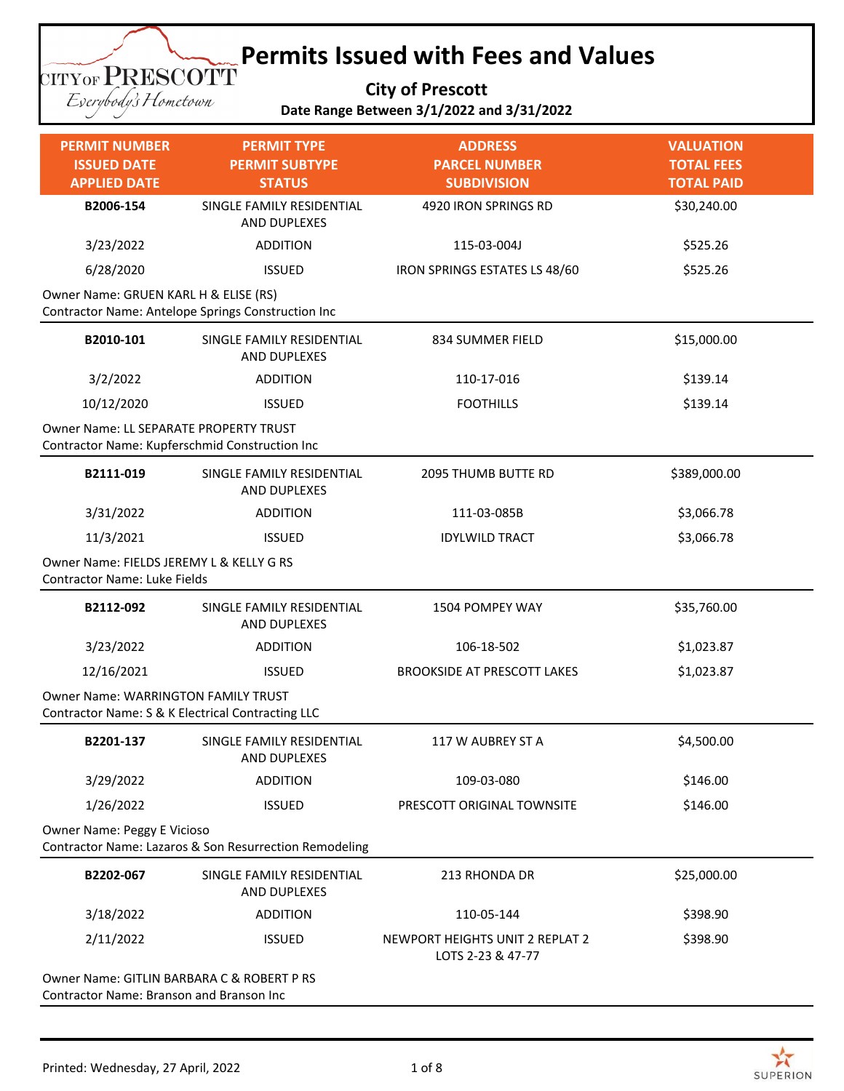#### **Permits Issued with Fees and Values CITYOF PRESCOTT**

**City of Prescott Date Range Between 3/1/2022 and 3/31/2022**

Everybody's Hometown

| <b>PERMIT NUMBER</b>                                                                            | <b>PERMIT TYPE</b>                                     | <b>ADDRESS</b>                                       | <b>VALUATION</b>                       |
|-------------------------------------------------------------------------------------------------|--------------------------------------------------------|------------------------------------------------------|----------------------------------------|
| <b>ISSUED DATE</b><br><b>APPLIED DATE</b>                                                       | <b>PERMIT SUBTYPE</b><br><b>STATUS</b>                 | <b>PARCEL NUMBER</b><br><b>SUBDIVISION</b>           | <b>TOTAL FEES</b><br><b>TOTAL PAID</b> |
| B2006-154                                                                                       | SINGLE FAMILY RESIDENTIAL                              | 4920 IRON SPRINGS RD                                 | \$30,240.00                            |
|                                                                                                 | AND DUPLEXES                                           |                                                      |                                        |
| 3/23/2022                                                                                       | <b>ADDITION</b>                                        | 115-03-004J                                          | \$525.26                               |
| 6/28/2020                                                                                       | <b>ISSUED</b>                                          | IRON SPRINGS ESTATES LS 48/60                        | \$525.26                               |
| Owner Name: GRUEN KARL H & ELISE (RS)                                                           | Contractor Name: Antelope Springs Construction Inc     |                                                      |                                        |
| B2010-101                                                                                       | SINGLE FAMILY RESIDENTIAL<br>AND DUPLEXES              | 834 SUMMER FIELD                                     | \$15,000.00                            |
| 3/2/2022                                                                                        | <b>ADDITION</b>                                        | 110-17-016                                           | \$139.14                               |
| 10/12/2020                                                                                      | <b>ISSUED</b>                                          | <b>FOOTHILLS</b>                                     | \$139.14                               |
| <b>Owner Name: LL SEPARATE PROPERTY TRUST</b><br>Contractor Name: Kupferschmid Construction Inc |                                                        |                                                      |                                        |
| B2111-019                                                                                       | SINGLE FAMILY RESIDENTIAL<br>AND DUPLEXES              | <b>2095 THUMB BUTTE RD</b>                           | \$389,000.00                           |
| 3/31/2022                                                                                       | <b>ADDITION</b>                                        | 111-03-085B                                          | \$3,066.78                             |
| 11/3/2021                                                                                       | <b>ISSUED</b>                                          | <b>IDYLWILD TRACT</b>                                | \$3,066.78                             |
| Owner Name: FIELDS JEREMY L & KELLY G RS<br><b>Contractor Name: Luke Fields</b>                 |                                                        |                                                      |                                        |
| B2112-092                                                                                       | SINGLE FAMILY RESIDENTIAL<br>AND DUPLEXES              | 1504 POMPEY WAY                                      | \$35,760.00                            |
| 3/23/2022                                                                                       | <b>ADDITION</b>                                        | 106-18-502                                           | \$1,023.87                             |
| 12/16/2021                                                                                      | <b>ISSUED</b>                                          | <b>BROOKSIDE AT PRESCOTT LAKES</b>                   | \$1,023.87                             |
| <b>Owner Name: WARRINGTON FAMILY TRUST</b><br>Contractor Name: S & K Electrical Contracting LLC |                                                        |                                                      |                                        |
| B2201-137                                                                                       | SINGLE FAMILY RESIDENTIAL<br><b>AND DUPLEXES</b>       | 117 W AUBREY ST A                                    | \$4,500.00                             |
| 3/29/2022                                                                                       | <b>ADDITION</b>                                        | 109-03-080                                           | \$146.00                               |
| 1/26/2022                                                                                       | <b>ISSUED</b>                                          | PRESCOTT ORIGINAL TOWNSITE                           | \$146.00                               |
| Owner Name: Peggy E Vicioso                                                                     | Contractor Name: Lazaros & Son Resurrection Remodeling |                                                      |                                        |
| B2202-067                                                                                       | SINGLE FAMILY RESIDENTIAL<br>AND DUPLEXES              | 213 RHONDA DR                                        | \$25,000.00                            |
| 3/18/2022                                                                                       | <b>ADDITION</b>                                        | 110-05-144                                           | \$398.90                               |
| 2/11/2022                                                                                       | <b>ISSUED</b>                                          | NEWPORT HEIGHTS UNIT 2 REPLAT 2<br>LOTS 2-23 & 47-77 | \$398.90                               |
| Owner Name: GITLIN BARBARA C & ROBERT P RS                                                      |                                                        |                                                      |                                        |

Contractor Name: Branson and Branson Inc

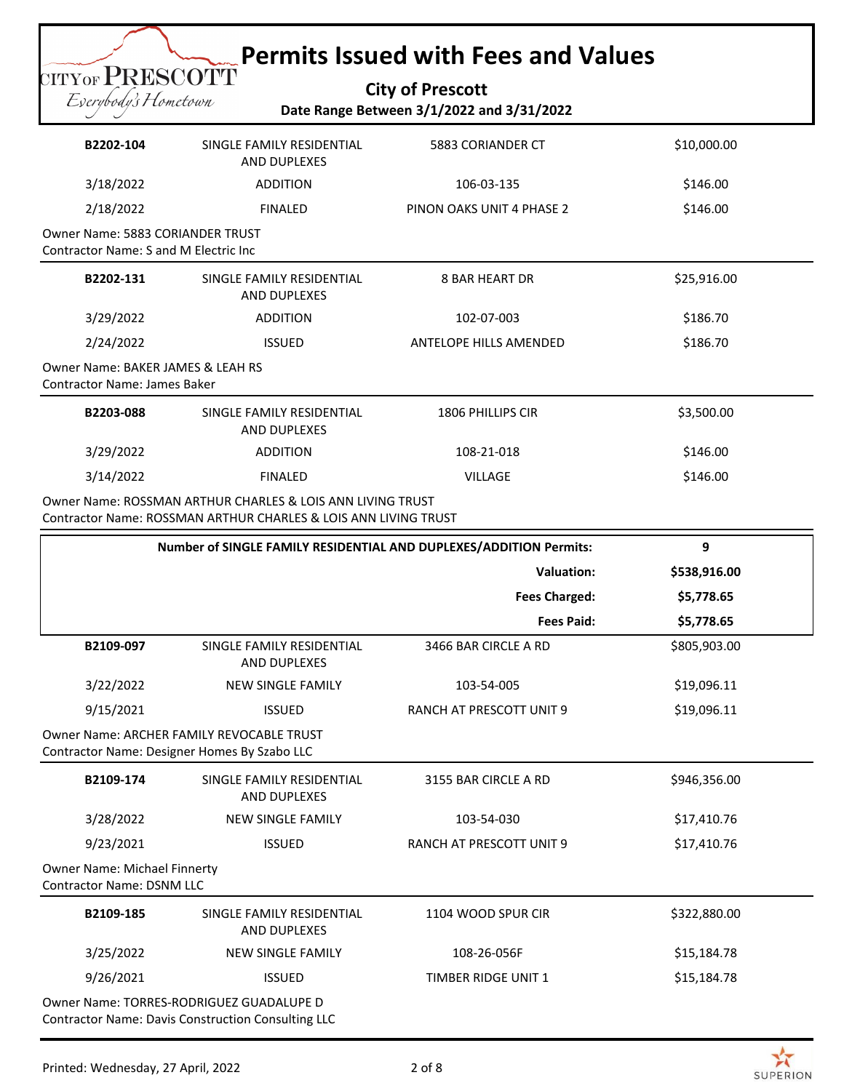# **Permits Issued with Fees and Values**

#### **City of Prescott Date Range Between 3/1/2022 and 3/31/2022**

| B2202-104                                                                                | SINGLE FAMILY RESIDENTIAL<br><b>AND DUPLEXES</b>                                                                              | 5883 CORIANDER CT                                                  | \$10,000.00  |
|------------------------------------------------------------------------------------------|-------------------------------------------------------------------------------------------------------------------------------|--------------------------------------------------------------------|--------------|
| 3/18/2022                                                                                | <b>ADDITION</b>                                                                                                               | 106-03-135                                                         | \$146.00     |
| 2/18/2022                                                                                | <b>FINALED</b>                                                                                                                | PINON OAKS UNIT 4 PHASE 2                                          | \$146.00     |
| <b>Owner Name: 5883 CORIANDER TRUST</b><br><b>Contractor Name: S and M Electric Inc.</b> |                                                                                                                               |                                                                    |              |
| B2202-131                                                                                | SINGLE FAMILY RESIDENTIAL<br><b>AND DUPLEXES</b>                                                                              | <b>8 BAR HEART DR</b>                                              | \$25,916.00  |
| 3/29/2022                                                                                | <b>ADDITION</b>                                                                                                               | 102-07-003                                                         | \$186.70     |
| 2/24/2022                                                                                | <b>ISSUED</b>                                                                                                                 | ANTELOPE HILLS AMENDED                                             | \$186.70     |
| <b>Owner Name: BAKER JAMES &amp; LEAH RS</b><br><b>Contractor Name: James Baker</b>      |                                                                                                                               |                                                                    |              |
| B2203-088                                                                                | SINGLE FAMILY RESIDENTIAL<br>AND DUPLEXES                                                                                     | <b>1806 PHILLIPS CIR</b>                                           | \$3,500.00   |
| 3/29/2022                                                                                | <b>ADDITION</b>                                                                                                               | 108-21-018                                                         | \$146.00     |
| 3/14/2022                                                                                | <b>FINALED</b>                                                                                                                | <b>VILLAGE</b>                                                     | \$146.00     |
|                                                                                          | Owner Name: ROSSMAN ARTHUR CHARLES & LOIS ANN LIVING TRUST<br>Contractor Name: ROSSMAN ARTHUR CHARLES & LOIS ANN LIVING TRUST |                                                                    |              |
|                                                                                          |                                                                                                                               |                                                                    |              |
|                                                                                          |                                                                                                                               | Number of SINGLE FAMILY RESIDENTIAL AND DUPLEXES/ADDITION Permits: | 9            |
|                                                                                          |                                                                                                                               | <b>Valuation:</b>                                                  | \$538,916.00 |
|                                                                                          |                                                                                                                               | <b>Fees Charged:</b>                                               | \$5,778.65   |
|                                                                                          |                                                                                                                               | <b>Fees Paid:</b>                                                  | \$5,778.65   |
| B2109-097                                                                                | SINGLE FAMILY RESIDENTIAL<br>AND DUPLEXES                                                                                     | 3466 BAR CIRCLE A RD                                               | \$805,903.00 |
| 3/22/2022                                                                                | <b>NEW SINGLE FAMILY</b>                                                                                                      | 103-54-005                                                         | \$19,096.11  |
| 9/15/2021                                                                                | <b>ISSUED</b>                                                                                                                 | RANCH AT PRESCOTT UNIT 9                                           | \$19,096.11  |
| Contractor Name: Designer Homes By Szabo LLC                                             | Owner Name: ARCHER FAMILY REVOCABLE TRUST                                                                                     |                                                                    |              |
| B2109-174                                                                                | SINGLE FAMILY RESIDENTIAL<br>AND DUPLEXES                                                                                     | 3155 BAR CIRCLE A RD                                               | \$946,356.00 |
| 3/28/2022                                                                                | <b>NEW SINGLE FAMILY</b>                                                                                                      | 103-54-030                                                         | \$17,410.76  |
| 9/23/2021                                                                                | <b>ISSUED</b>                                                                                                                 | RANCH AT PRESCOTT UNIT 9                                           | \$17,410.76  |
| Owner Name: Michael Finnerty<br><b>Contractor Name: DSNM LLC</b>                         |                                                                                                                               |                                                                    |              |

9/26/2021 ISSUED ISSUED TIMBER RIDGE UNIT 1 S15,184.78 Owner Name: TORRES-RODRIGUEZ GUADALUPE D Contractor Name: Davis Construction Consulting LLC

**TITYOF PRESCOTT** Eserybody's Hometown

3/25/2022 NEW SINGLE FAMILY 108-26-056F \$15,184.78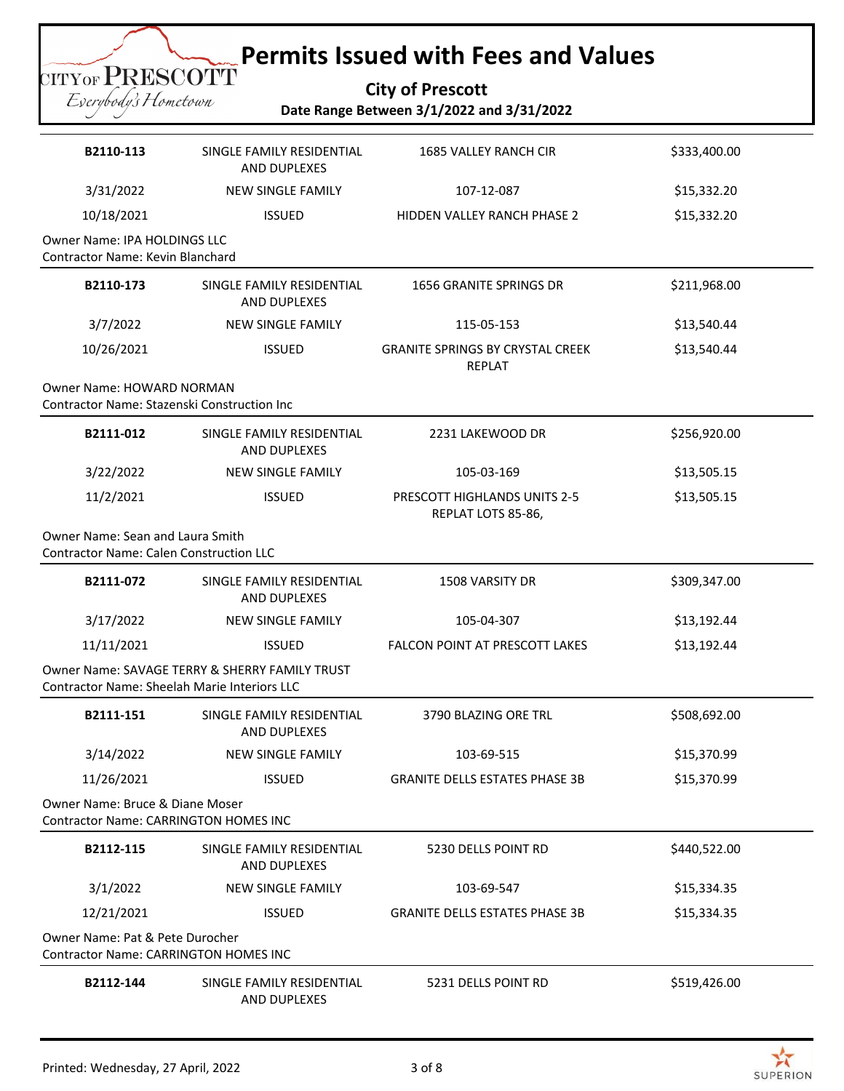# **Permits Issued with Fees and Values**

#### **City of Prescott Date Range Between 3/1/2022 and 3/31/2022**

| B2110-113                                                                                  | SINGLE FAMILY RESIDENTIAL<br>AND DUPLEXES        | <b>1685 VALLEY RANCH CIR</b>                             | \$333,400.00 |
|--------------------------------------------------------------------------------------------|--------------------------------------------------|----------------------------------------------------------|--------------|
| 3/31/2022                                                                                  | <b>NEW SINGLE FAMILY</b>                         | 107-12-087                                               | \$15,332.20  |
| 10/18/2021                                                                                 | <b>ISSUED</b>                                    | HIDDEN VALLEY RANCH PHASE 2                              | \$15,332.20  |
| <b>Owner Name: IPA HOLDINGS LLC</b><br><b>Contractor Name: Kevin Blanchard</b>             |                                                  |                                                          |              |
| B2110-173                                                                                  | SINGLE FAMILY RESIDENTIAL<br><b>AND DUPLEXES</b> | 1656 GRANITE SPRINGS DR                                  | \$211,968.00 |
| 3/7/2022                                                                                   | <b>NEW SINGLE FAMILY</b>                         | 115-05-153                                               | \$13,540.44  |
| 10/26/2021                                                                                 | <b>ISSUED</b>                                    | <b>GRANITE SPRINGS BY CRYSTAL CREEK</b><br><b>REPLAT</b> | \$13,540.44  |
| <b>Owner Name: HOWARD NORMAN</b><br><b>Contractor Name: Stazenski Construction Inc.</b>    |                                                  |                                                          |              |
| B2111-012                                                                                  | SINGLE FAMILY RESIDENTIAL<br><b>AND DUPLEXES</b> | 2231 LAKEWOOD DR                                         | \$256,920.00 |
| 3/22/2022                                                                                  | <b>NEW SINGLE FAMILY</b>                         | 105-03-169                                               | \$13,505.15  |
| 11/2/2021                                                                                  | <b>ISSUED</b>                                    | PRESCOTT HIGHLANDS UNITS 2-5<br>REPLAT LOTS 85-86,       | \$13,505.15  |
| <b>Owner Name: Sean and Laura Smith</b><br><b>Contractor Name: Calen Construction LLC</b>  |                                                  |                                                          |              |
| B2111-072                                                                                  | SINGLE FAMILY RESIDENTIAL<br>AND DUPLEXES        | <b>1508 VARSITY DR</b>                                   | \$309,347.00 |
| 3/17/2022                                                                                  | <b>NEW SINGLE FAMILY</b>                         | 105-04-307                                               | \$13,192.44  |
| 11/11/2021                                                                                 | <b>ISSUED</b>                                    | <b>FALCON POINT AT PRESCOTT LAKES</b>                    | \$13,192.44  |
| Contractor Name: Sheelah Marie Interiors LLC                                               | Owner Name: SAVAGE TERRY & SHERRY FAMILY TRUST   |                                                          |              |
| B2111-151                                                                                  | SINGLE FAMILY RESIDENTIAL<br><b>AND DUPLEXES</b> | 3790 BLAZING ORE TRL                                     | \$508,692.00 |
| 3/14/2022                                                                                  | <b>NEW SINGLE FAMILY</b>                         | 103-69-515                                               | \$15,370.99  |
| 11/26/2021                                                                                 | <b>ISSUED</b>                                    | <b>GRANITE DELLS ESTATES PHASE 3B</b>                    | \$15,370.99  |
| <b>Owner Name: Bruce &amp; Diane Moser</b><br><b>Contractor Name: CARRINGTON HOMES INC</b> |                                                  |                                                          |              |
| B2112-115                                                                                  | SINGLE FAMILY RESIDENTIAL<br>AND DUPLEXES        | 5230 DELLS POINT RD                                      | \$440,522.00 |
| 3/1/2022                                                                                   | <b>NEW SINGLE FAMILY</b>                         | 103-69-547                                               | \$15,334.35  |
| 12/21/2021                                                                                 | <b>ISSUED</b>                                    | <b>GRANITE DELLS ESTATES PHASE 3B</b>                    | \$15,334.35  |
| Owner Name: Pat & Pete Durocher<br><b>Contractor Name: CARRINGTON HOMES INC</b>            |                                                  |                                                          |              |
| B2112-144                                                                                  | SINGLE FAMILY RESIDENTIAL<br>AND DUPLEXES        | 5231 DELLS POINT RD                                      | \$519,426.00 |

CITYOF PRESCOTT Eserybody's Hometown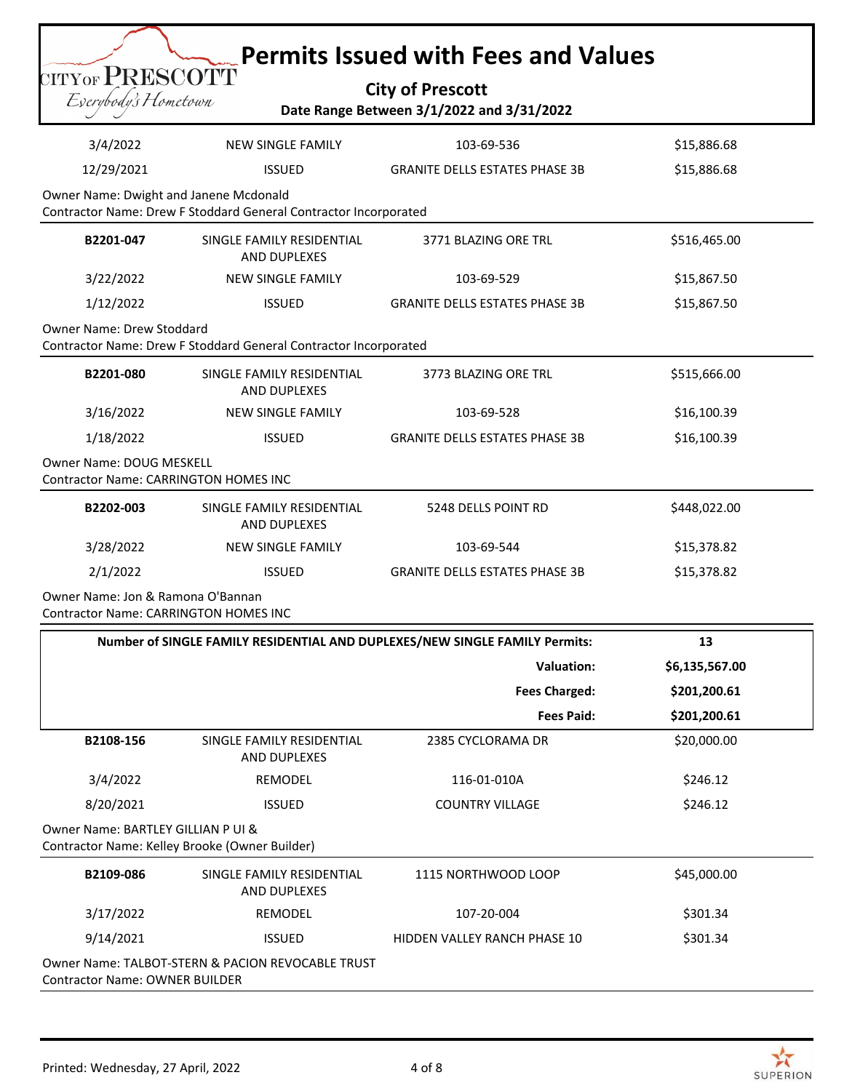|                                                                                   |                                                                                               | <b>Permits Issued with Fees and Values</b>                                  |              |  |  |
|-----------------------------------------------------------------------------------|-----------------------------------------------------------------------------------------------|-----------------------------------------------------------------------------|--------------|--|--|
| CITYOF PRESCOTT                                                                   |                                                                                               | <b>City of Prescott</b>                                                     |              |  |  |
| Eserybody's Hometown<br>Date Range Between 3/1/2022 and 3/31/2022                 |                                                                                               |                                                                             |              |  |  |
| 3/4/2022                                                                          | <b>NEW SINGLE FAMILY</b>                                                                      | 103-69-536                                                                  | \$15,886.68  |  |  |
| 12/29/2021                                                                        | <b>ISSUED</b>                                                                                 | <b>GRANITE DELLS ESTATES PHASE 3B</b>                                       | \$15,886.68  |  |  |
| Owner Name: Dwight and Janene Mcdonald                                            | Contractor Name: Drew F Stoddard General Contractor Incorporated                              |                                                                             |              |  |  |
| B2201-047                                                                         | SINGLE FAMILY RESIDENTIAL<br>AND DUPLEXES                                                     | 3771 BLAZING ORE TRL                                                        | \$516,465.00 |  |  |
| 3/22/2022                                                                         | <b>NEW SINGLE FAMILY</b>                                                                      | 103-69-529                                                                  | \$15,867.50  |  |  |
| 1/12/2022                                                                         | <b>ISSUED</b>                                                                                 | <b>GRANITE DELLS ESTATES PHASE 3B</b>                                       | \$15,867.50  |  |  |
|                                                                                   | Owner Name: Drew Stoddard<br>Contractor Name: Drew F Stoddard General Contractor Incorporated |                                                                             |              |  |  |
| B2201-080                                                                         | SINGLE FAMILY RESIDENTIAL<br>AND DUPLEXES                                                     | 3773 BLAZING ORE TRL                                                        | \$515,666.00 |  |  |
| 3/16/2022                                                                         | <b>NEW SINGLE FAMILY</b>                                                                      | 103-69-528                                                                  | \$16,100.39  |  |  |
| 1/18/2022                                                                         | <b>ISSUED</b>                                                                                 | <b>GRANITE DELLS ESTATES PHASE 3B</b>                                       | \$16,100.39  |  |  |
| Owner Name: DOUG MESKELL<br><b>Contractor Name: CARRINGTON HOMES INC</b>          |                                                                                               |                                                                             |              |  |  |
| B2202-003                                                                         | SINGLE FAMILY RESIDENTIAL<br>AND DUPLEXES                                                     | 5248 DELLS POINT RD                                                         | \$448,022.00 |  |  |
| 3/28/2022                                                                         | <b>NEW SINGLE FAMILY</b>                                                                      | 103-69-544                                                                  | \$15,378.82  |  |  |
| 2/1/2022                                                                          | <b>ISSUED</b>                                                                                 | <b>GRANITE DELLS ESTATES PHASE 3B</b>                                       | \$15,378.82  |  |  |
| Owner Name: Jon & Ramona O'Bannan<br><b>Contractor Name: CARRINGTON HOMES INC</b> |                                                                                               |                                                                             |              |  |  |
|                                                                                   |                                                                                               | Number of SINGLE FAMILY RESIDENTIAL AND DUPLEXES/NEW SINGLE FAMILY Permits: | 13           |  |  |

|                                    |                                                  | <b>Valuation:</b>      | \$6,135,567.00 |
|------------------------------------|--------------------------------------------------|------------------------|----------------|
|                                    |                                                  | <b>Fees Charged:</b>   | \$201,200.61   |
|                                    |                                                  | <b>Fees Paid:</b>      | \$201,200.61   |
| B2108-156                          | SINGLE FAMILY RESIDENTIAL<br><b>AND DUPLEXES</b> | 2385 CYCLORAMA DR      | \$20,000.00    |
| 3/4/2022                           | <b>REMODEL</b>                                   | 116-01-010A            | \$246.12       |
|                                    |                                                  |                        |                |
| 8/20/2021                          | <b>ISSUED</b>                                    | <b>COUNTRY VILLAGE</b> | \$246.12       |
| Owner Name: BARTLEY GILLIAN P UI & | Contractor Name: Kelley Brooke (Owner Builder)   |                        |                |
| B2109-086                          | SINGLE FAMILY RESIDENTIAL<br>AND DUPLEXES        | 1115 NORTHWOOD LOOP    | \$45,000.00    |
| 3/17/2022                          | REMODEL                                          | 107-20-004             | \$301.34       |

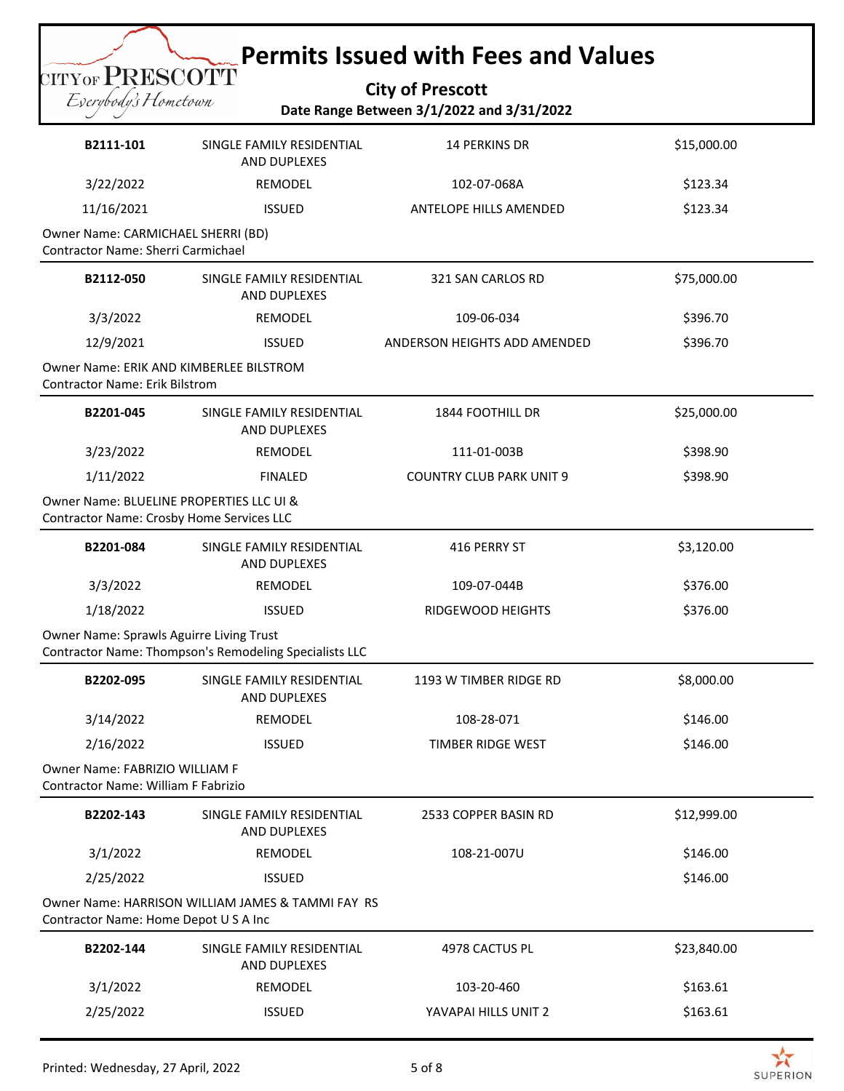# **Permits Issued with Fees and Values**

**City of Prescott Date Range Between 3/1/2022 and 3/31/2022**

| B2111-101                                                                             | SINGLE FAMILY RESIDENTIAL<br>AND DUPLEXES              | <b>14 PERKINS DR</b>            | \$15,000.00 |
|---------------------------------------------------------------------------------------|--------------------------------------------------------|---------------------------------|-------------|
| 3/22/2022                                                                             | REMODEL                                                | 102-07-068A                     | \$123.34    |
| 11/16/2021                                                                            | <b>ISSUED</b>                                          | <b>ANTELOPE HILLS AMENDED</b>   | \$123.34    |
| Owner Name: CARMICHAEL SHERRI (BD)<br>Contractor Name: Sherri Carmichael              |                                                        |                                 |             |
| B2112-050                                                                             | SINGLE FAMILY RESIDENTIAL<br><b>AND DUPLEXES</b>       | 321 SAN CARLOS RD               | \$75,000.00 |
| 3/3/2022                                                                              | REMODEL                                                | 109-06-034                      | \$396.70    |
| 12/9/2021                                                                             | <b>ISSUED</b>                                          | ANDERSON HEIGHTS ADD AMENDED    | \$396.70    |
| Owner Name: ERIK AND KIMBERLEE BILSTROM<br><b>Contractor Name: Erik Bilstrom</b>      |                                                        |                                 |             |
| B2201-045                                                                             | SINGLE FAMILY RESIDENTIAL<br>AND DUPLEXES              | 1844 FOOTHILL DR                | \$25,000.00 |
| 3/23/2022                                                                             | REMODEL                                                | 111-01-003B                     | \$398.90    |
| 1/11/2022                                                                             | <b>FINALED</b>                                         | <b>COUNTRY CLUB PARK UNIT 9</b> | \$398.90    |
| Owner Name: BLUELINE PROPERTIES LLC UI &<br>Contractor Name: Crosby Home Services LLC |                                                        |                                 |             |
| B2201-084                                                                             | SINGLE FAMILY RESIDENTIAL<br>AND DUPLEXES              | 416 PERRY ST                    | \$3,120.00  |
| 3/3/2022                                                                              | REMODEL                                                | 109-07-044B                     | \$376.00    |
| 1/18/2022                                                                             | <b>ISSUED</b>                                          | RIDGEWOOD HEIGHTS               | \$376.00    |
| Owner Name: Sprawls Aguirre Living Trust                                              | Contractor Name: Thompson's Remodeling Specialists LLC |                                 |             |
| B2202-095                                                                             | SINGLE FAMILY RESIDENTIAL<br>AND DUPLEXES              | 1193 W TIMBER RIDGE RD          | \$8,000.00  |
| 3/14/2022                                                                             | REMODEL                                                | 108-28-071                      | \$146.00    |
| 2/16/2022                                                                             | <b>ISSUED</b>                                          | TIMBER RIDGE WEST               | \$146.00    |
| Owner Name: FABRIZIO WILLIAM F<br>Contractor Name: William F Fabrizio                 |                                                        |                                 |             |
| B2202-143                                                                             | SINGLE FAMILY RESIDENTIAL<br>AND DUPLEXES              | 2533 COPPER BASIN RD            | \$12,999.00 |
| 3/1/2022                                                                              | REMODEL                                                | 108-21-007U                     | \$146.00    |
| 2/25/2022                                                                             | <b>ISSUED</b>                                          |                                 | \$146.00    |
| Contractor Name: Home Depot U S A Inc                                                 | Owner Name: HARRISON WILLIAM JAMES & TAMMI FAY RS      |                                 |             |
| B2202-144                                                                             | SINGLE FAMILY RESIDENTIAL<br>AND DUPLEXES              | 4978 CACTUS PL                  | \$23,840.00 |
| 3/1/2022                                                                              | REMODEL                                                | 103-20-460                      | \$163.61    |
| 2/25/2022                                                                             | <b>ISSUED</b>                                          | YAVAPAI HILLS UNIT 2            | \$163.61    |

CITYOF PRESCOTT Eserybody's Hometown

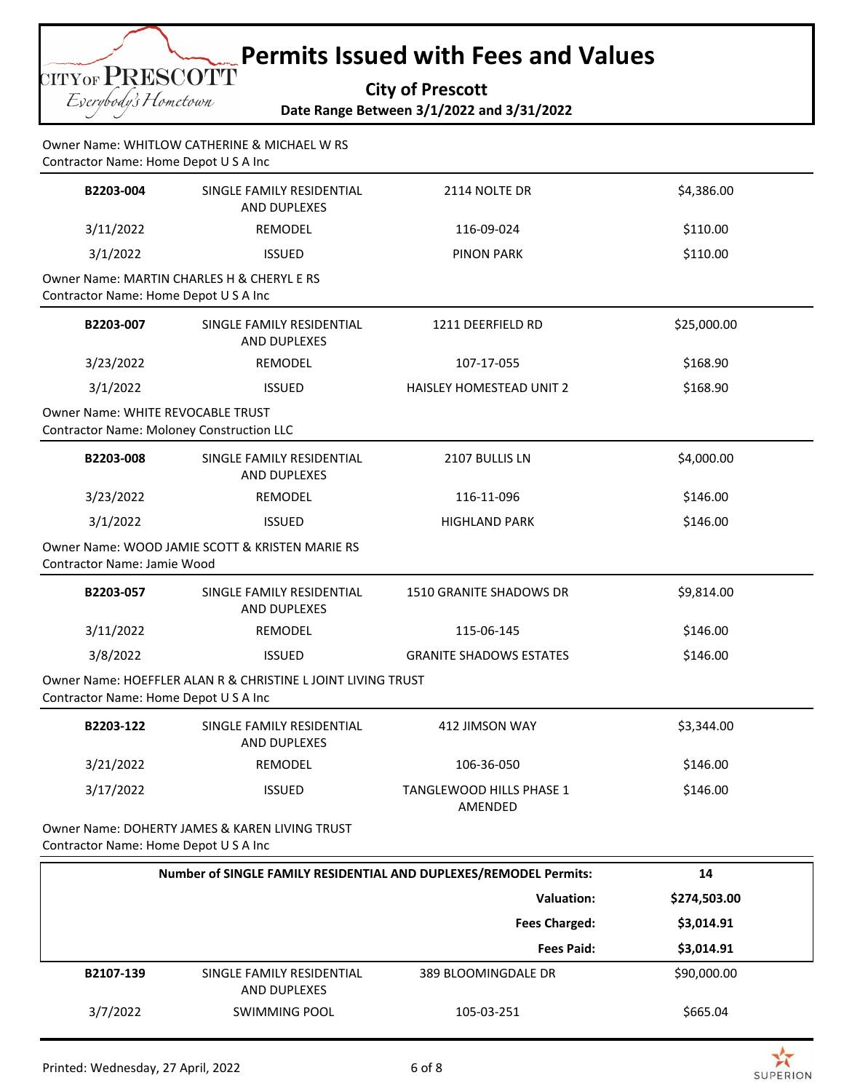**TITYOF PRESCOTT** Eserybody's Hometown

**Permits Issued with Fees and Values**

**City of Prescott Date Range Between 3/1/2022 and 3/31/2022**

Owner Name: WHITLOW CATHERINE & MICHAEL W RS Contractor Name: Home Depot U S A Inc

| B2203-004                                                                             | SINGLE FAMILY RESIDENTIAL<br>AND DUPLEXES                   | 2114 NOLTE DR                                                     | \$4,386.00   |
|---------------------------------------------------------------------------------------|-------------------------------------------------------------|-------------------------------------------------------------------|--------------|
| 3/11/2022                                                                             | <b>REMODEL</b>                                              | 116-09-024                                                        | \$110.00     |
| 3/1/2022                                                                              | <b>ISSUED</b>                                               | <b>PINON PARK</b>                                                 | \$110.00     |
| Contractor Name: Home Depot U S A Inc                                                 | Owner Name: MARTIN CHARLES H & CHERYL E RS                  |                                                                   |              |
| B2203-007                                                                             | SINGLE FAMILY RESIDENTIAL<br>AND DUPLEXES                   | 1211 DEERFIELD RD                                                 | \$25,000.00  |
| 3/23/2022                                                                             | REMODEL                                                     | 107-17-055                                                        | \$168.90     |
| 3/1/2022                                                                              | <b>ISSUED</b>                                               | HAISLEY HOMESTEAD UNIT 2                                          | \$168.90     |
| Owner Name: WHITE REVOCABLE TRUST<br><b>Contractor Name: Moloney Construction LLC</b> |                                                             |                                                                   |              |
| B2203-008                                                                             | SINGLE FAMILY RESIDENTIAL<br>AND DUPLEXES                   | 2107 BULLIS LN                                                    | \$4,000.00   |
| 3/23/2022                                                                             | REMODEL                                                     | 116-11-096                                                        | \$146.00     |
| 3/1/2022                                                                              | <b>ISSUED</b>                                               | <b>HIGHLAND PARK</b>                                              | \$146.00     |
| Contractor Name: Jamie Wood                                                           | Owner Name: WOOD JAMIE SCOTT & KRISTEN MARIE RS             |                                                                   |              |
| B2203-057                                                                             | SINGLE FAMILY RESIDENTIAL<br>AND DUPLEXES                   | 1510 GRANITE SHADOWS DR                                           | \$9,814.00   |
| 3/11/2022                                                                             | REMODEL                                                     | 115-06-145                                                        | \$146.00     |
| 3/8/2022                                                                              | <b>ISSUED</b>                                               | <b>GRANITE SHADOWS ESTATES</b>                                    | \$146.00     |
| Contractor Name: Home Depot U S A Inc                                                 | Owner Name: HOEFFLER ALAN R & CHRISTINE LJOINT LIVING TRUST |                                                                   |              |
| B2203-122                                                                             | SINGLE FAMILY RESIDENTIAL<br>AND DUPLEXES                   | 412 JIMSON WAY                                                    | \$3,344.00   |
| 3/21/2022                                                                             | REMODEL                                                     | 106-36-050                                                        | \$146.00     |
| 3/17/2022                                                                             | <b>ISSUED</b>                                               | TANGLEWOOD HILLS PHASE 1<br>AMENDED                               | \$146.00     |
| Contractor Name: Home Depot U S A Inc                                                 | Owner Name: DOHERTY JAMES & KAREN LIVING TRUST              |                                                                   |              |
|                                                                                       |                                                             | Number of SINGLE FAMILY RESIDENTIAL AND DUPLEXES/REMODEL Permits: | 14           |
|                                                                                       |                                                             | <b>Valuation:</b>                                                 | \$274,503.00 |
|                                                                                       |                                                             | <b>Fees Charged:</b>                                              | \$3,014.91   |

 **Fees Paid: \$3,014.91 B2107-139** SINGLE FAMILY RESIDENTIAL AND DUPLEXES 389 BLOOMINGDALE DR \$90,000.00 3/7/2022 SWIMMING POOL 105-03-251 5665.04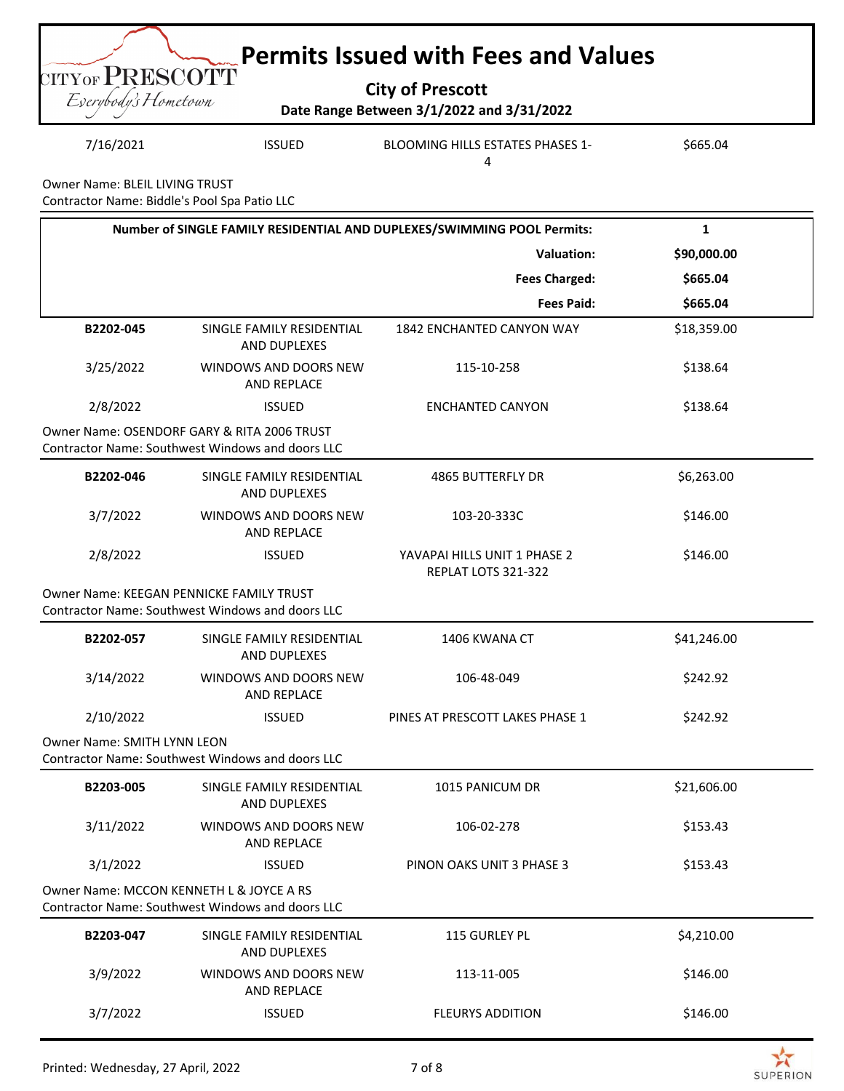|                                         | <b>Example 2 Permits Issued with Fees and Values</b>                 |  |
|-----------------------------------------|----------------------------------------------------------------------|--|
| CITYOF PRESCOTT<br>Everybody's Hometown | <b>City of Prescott</b><br>Date Range Between 3/1/2022 and 3/31/2022 |  |

7/16/2021 ISSUED BLOOMING HILLS ESTATES PHASES 1- 4 \$665.04

Owner Name: BLEIL LIVING TRUST Contractor Name: Biddle's Pool Spa Patio LLC

|                                                                                              |                                                                                                 | Number of SINGLE FAMILY RESIDENTIAL AND DUPLEXES/SWIMMING POOL Permits: | 1           |
|----------------------------------------------------------------------------------------------|-------------------------------------------------------------------------------------------------|-------------------------------------------------------------------------|-------------|
|                                                                                              |                                                                                                 | <b>Valuation:</b>                                                       | \$90,000.00 |
|                                                                                              |                                                                                                 | <b>Fees Charged:</b>                                                    | \$665.04    |
|                                                                                              |                                                                                                 | <b>Fees Paid:</b>                                                       | \$665.04    |
| B2202-045                                                                                    | SINGLE FAMILY RESIDENTIAL<br>AND DUPLEXES                                                       | 1842 ENCHANTED CANYON WAY                                               | \$18,359.00 |
| 3/25/2022                                                                                    | WINDOWS AND DOORS NEW<br>AND REPLACE                                                            | 115-10-258                                                              | \$138.64    |
| 2/8/2022                                                                                     | <b>ISSUED</b>                                                                                   | <b>ENCHANTED CANYON</b>                                                 | \$138.64    |
|                                                                                              | Owner Name: OSENDORF GARY & RITA 2006 TRUST<br>Contractor Name: Southwest Windows and doors LLC |                                                                         |             |
| B2202-046                                                                                    | SINGLE FAMILY RESIDENTIAL<br>AND DUPLEXES                                                       | <b>4865 BUTTERFLY DR</b>                                                | \$6,263.00  |
| 3/7/2022                                                                                     | WINDOWS AND DOORS NEW<br>AND REPLACE                                                            | 103-20-333C                                                             | \$146.00    |
| 2/8/2022                                                                                     | <b>ISSUED</b>                                                                                   | YAVAPAI HILLS UNIT 1 PHASE 2<br>REPLAT LOTS 321-322                     | \$146.00    |
|                                                                                              | Owner Name: KEEGAN PENNICKE FAMILY TRUST<br>Contractor Name: Southwest Windows and doors LLC    |                                                                         |             |
| B2202-057                                                                                    | SINGLE FAMILY RESIDENTIAL<br>AND DUPLEXES                                                       | 1406 KWANA CT                                                           | \$41,246.00 |
| 3/14/2022                                                                                    | WINDOWS AND DOORS NEW<br><b>AND REPLACE</b>                                                     | 106-48-049                                                              | \$242.92    |
| 2/10/2022                                                                                    | <b>ISSUED</b>                                                                                   | PINES AT PRESCOTT LAKES PHASE 1                                         | \$242.92    |
| <b>Owner Name: SMITH LYNN LEON</b>                                                           | Contractor Name: Southwest Windows and doors LLC                                                |                                                                         |             |
| B2203-005                                                                                    | SINGLE FAMILY RESIDENTIAL<br>AND DUPLEXES                                                       | 1015 PANICUM DR                                                         | \$21,606.00 |
| 3/11/2022                                                                                    | WINDOWS AND DOORS NEW<br>AND REPLACE                                                            | 106-02-278                                                              | \$153.43    |
| 3/1/2022                                                                                     | <b>ISSUED</b>                                                                                   | PINON OAKS UNIT 3 PHASE 3                                               | \$153.43    |
| Owner Name: MCCON KENNETH L & JOYCE A RS<br>Contractor Name: Southwest Windows and doors LLC |                                                                                                 |                                                                         |             |
| B2203-047                                                                                    | SINGLE FAMILY RESIDENTIAL<br>AND DUPLEXES                                                       | 115 GURLEY PL                                                           | \$4,210.00  |
| 3/9/2022                                                                                     | WINDOWS AND DOORS NEW<br>AND REPLACE                                                            | 113-11-005                                                              | \$146.00    |
| 3/7/2022                                                                                     | <b>ISSUED</b>                                                                                   | <b>FLEURYS ADDITION</b>                                                 | \$146.00    |